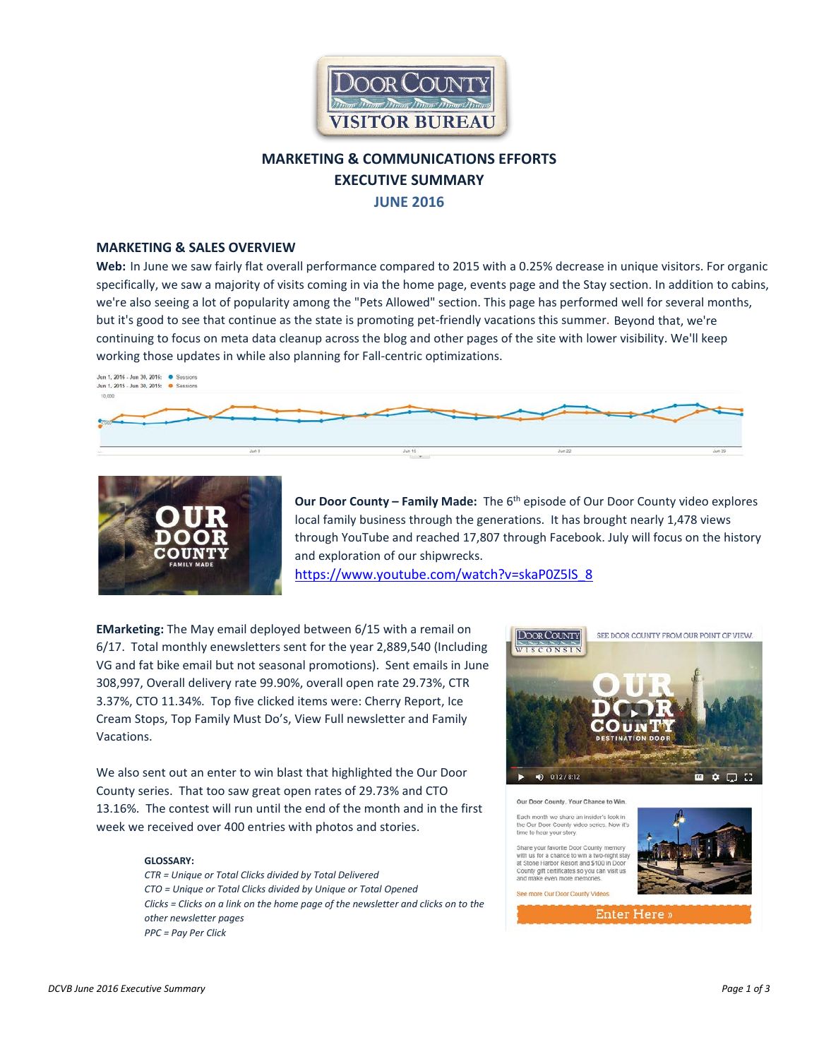

# **MARKETING & COMMUNICATIONS EFFORTS EXECUTIVE SUMMARY JUNE 2016**

### **MARKETING & SALES OVERVIEW**

**Web:** In June we saw fairly flat overall performance compared to 2015 with a 0.25% decrease in unique visitors. For organic specifically, we saw a majority of visits coming in via the home page, events page and the Stay section. In addition to cabins, we're also seeing a lot of popularity among the "Pets Allowed" section. This page has performed well for several months, but it's good to see that continue as the state is promoting pet-friendly vacations this summer. Beyond that, we're continuing to focus on meta data cleanup across the blog and other pages of the site with lower visibility. We'll keep working those updates in while also planning for Fall-centric optimizations.





**Our Door County – Family Made:** The 6<sup>th</sup> episode of Our Door County video explores local family business through the generations. It has brought nearly 1,478 views through YouTube and reached 17,807 through Facebook. July will focus on the history and exploration of our shipwrecks.

[https://www.youtube.com/watch?v=skaP0Z5lS\\_8](https://www.youtube.com/watch?v=skaP0Z5lS_8)

**EMarketing:** The May email deployed between 6/15 with a remail on 6/17. Total monthly enewsletters sent for the year 2,889,540 (Including VG and fat bike email but not seasonal promotions). Sent emails in June 308,997, Overall delivery rate 99.90%, overall open rate 29.73%, CTR 3.37%, CTO 11.34%. Top five clicked items were: Cherry Report, Ice Cream Stops, Top Family Must Do's, View Full newsletter and Family Vacations.

We also sent out an enter to win blast that highlighted the Our Door County series. That too saw great open rates of 29.73% and CTO 13.16%. The contest will run until the end of the month and in the first week we received over 400 entries with photos and stories.

#### **GLOSSARY:**

*CTR = Unique or Total Clicks divided by Total Delivered CTO = Unique or Total Clicks divided by Unique or Total Opened Clicks = Clicks on a link on the home page of the newsletter and clicks on to the other newsletter pages PPC = Pay Per Click* 





Enter Here »

e to hear your story.

en more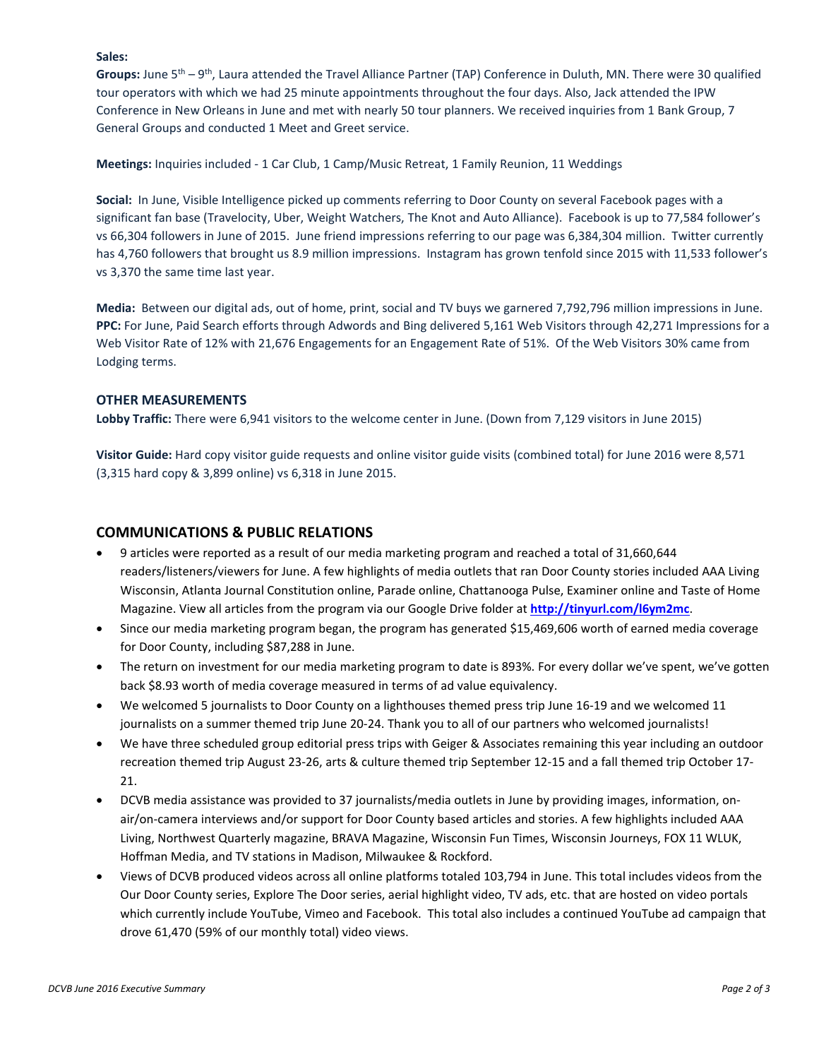### **Sales:**

**Groups:** June 5th – 9th, Laura attended the Travel Alliance Partner (TAP) Conference in Duluth, MN. There were 30 qualified tour operators with which we had 25 minute appointments throughout the four days. Also, Jack attended the IPW Conference in New Orleans in June and met with nearly 50 tour planners. We received inquiries from 1 Bank Group, 7 General Groups and conducted 1 Meet and Greet service.

**Meetings:** Inquiries included - 1 Car Club, 1 Camp/Music Retreat, 1 Family Reunion, 11 Weddings

**Social:** In June, Visible Intelligence picked up comments referring to Door County on several Facebook pages with a significant fan base (Travelocity, Uber, Weight Watchers, The Knot and Auto Alliance). Facebook is up to 77,584 follower's vs 66,304 followers in June of 2015. June friend impressions referring to our page was 6,384,304 million. Twitter currently has 4,760 followers that brought us 8.9 million impressions. Instagram has grown tenfold since 2015 with 11,533 follower's vs 3,370 the same time last year.

**Media:** Between our digital ads, out of home, print, social and TV buys we garnered 7,792,796 million impressions in June. **PPC:** For June, Paid Search efforts through Adwords and Bing delivered 5,161 Web Visitors through 42,271 Impressions for a Web Visitor Rate of 12% with 21,676 Engagements for an Engagement Rate of 51%. Of the Web Visitors 30% came from Lodging terms.

## **OTHER MEASUREMENTS**

**Lobby Traffic:** There were 6,941 visitors to the welcome center in June. (Down from 7,129 visitors in June 2015)

**Visitor Guide:** Hard copy visitor guide requests and online visitor guide visits (combined total) for June 2016 were 8,571 (3,315 hard copy & 3,899 online) vs 6,318 in June 2015.

## **COMMUNICATIONS & PUBLIC RELATIONS**

- 9 articles were reported as a result of our media marketing program and reached a total of 31,660,644 readers/listeners/viewers for June. A few highlights of media outlets that ran Door County stories included AAA Living Wisconsin, Atlanta Journal Constitution online, Parade online, Chattanooga Pulse, Examiner online and Taste of Home Magazine. View all articles from the program via our Google Drive folder at **<http://tinyurl.com/l6ym2mc>**.
- Since our media marketing program began, the program has generated \$15,469,606 worth of earned media coverage for Door County, including \$87,288 in June.
- The return on investment for our media marketing program to date is 893%. For every dollar we've spent, we've gotten back \$8.93 worth of media coverage measured in terms of ad value equivalency.
- We welcomed 5 journalists to Door County on a lighthouses themed press trip June 16-19 and we welcomed 11 journalists on a summer themed trip June 20-24. Thank you to all of our partners who welcomed journalists!
- We have three scheduled group editorial press trips with Geiger & Associates remaining this year including an outdoor recreation themed trip August 23-26, arts & culture themed trip September 12-15 and a fall themed trip October 17- 21.
- DCVB media assistance was provided to 37 journalists/media outlets in June by providing images, information, onair/on-camera interviews and/or support for Door County based articles and stories. A few highlights included AAA Living, Northwest Quarterly magazine, BRAVA Magazine, Wisconsin Fun Times, Wisconsin Journeys, FOX 11 WLUK, Hoffman Media, and TV stations in Madison, Milwaukee & Rockford.
- Views of DCVB produced videos across all online platforms totaled 103,794 in June. This total includes videos from the Our Door County series, Explore The Door series, aerial highlight video, TV ads, etc. that are hosted on video portals which currently include YouTube, Vimeo and Facebook. This total also includes a continued YouTube ad campaign that drove 61,470 (59% of our monthly total) video views.